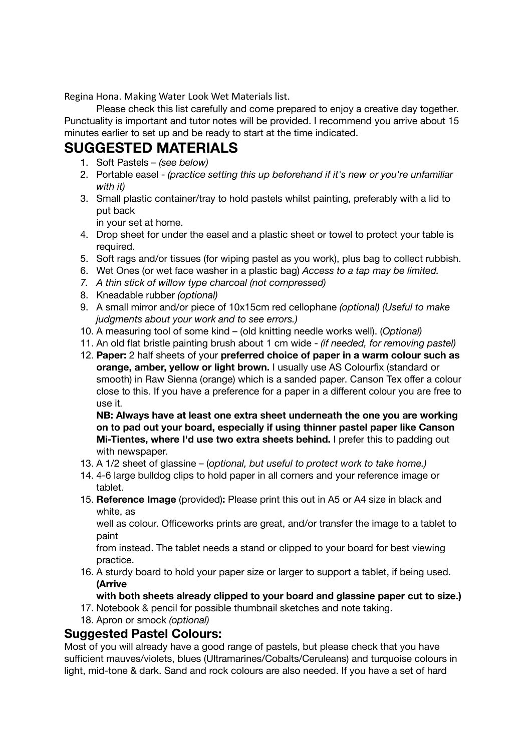Regina Hona. Making Water Look Wet Materials list.

Please check this list carefully and come prepared to enjoy a creative day together. Punctuality is important and tutor notes will be provided. I recommend you arrive about 15 minutes earlier to set up and be ready to start at the time indicated.

## **SUGGESTED MATERIALS**

- 1. Soft Pastels *(see below)*
- 2. Portable easel *(practice setting this up beforehand if it's new or you're unfamiliar with it)*
- 3. Small plastic container/tray to hold pastels whilst painting, preferably with a lid to put back

in your set at home.

- 4. Drop sheet for under the easel and a plastic sheet or towel to protect your table is required.
- 5. Soft rags and/or tissues (for wiping pastel as you work), plus bag to collect rubbish.
- 6. Wet Ones (or wet face washer in a plastic bag) *Access to a tap may be limited.*
- *7. A thin stick of willow type charcoal (not compressed)*
- 8. Kneadable rubber *(optional)*
- 9. A small mirror and/or piece of 10x15cm red cellophane *(optional) (Useful to make judgments about your work and to see errors.)*
- 10. A measuring tool of some kind (old knitting needle works well). (*Optional)*
- 11. An old flat bristle painting brush about 1 cm wide *(if needed, for removing pastel)*
- 12. **Paper:** 2 half sheets of your **preferred choice of paper in a warm colour such as orange, amber, yellow or light brown.** I usually use AS Colourfix (standard or smooth) in Raw Sienna (orange) which is a sanded paper. Canson Tex offer a colour close to this. If you have a preference for a paper in a different colour you are free to use it.

**NB: Always have at least one extra sheet underneath the one you are working on to pad out your board, especially if using thinner pastel paper like Canson Mi-Tientes, where I'd use two extra sheets behind.** I prefer this to padding out with newspaper.

- 13. A 1/2 sheet of glassine (*optional, but useful to protect work to take home.)*
- 14. 4-6 large bulldog clips to hold paper in all corners and your reference image or tablet.
- 15. **Reference Image** (provided)**:** Please print this out in A5 or A4 size in black and white, as

well as colour. Officeworks prints are great, and/or transfer the image to a tablet to paint

from instead. The tablet needs a stand or clipped to your board for best viewing practice.

16. A sturdy board to hold your paper size or larger to support a tablet, if being used. **(Arrive**

**with both sheets already clipped to your board and glassine paper cut to size.)**

- 17. Notebook & pencil for possible thumbnail sketches and note taking.
- 18. Apron or smock *(optional)*

## **Suggested Pastel Colours:**

Most of you will already have a good range of pastels, but please check that you have sufficient mauves/violets, blues (Ultramarines/Cobalts/Ceruleans) and turquoise colours in light, mid-tone & dark. Sand and rock colours are also needed. If you have a set of hard